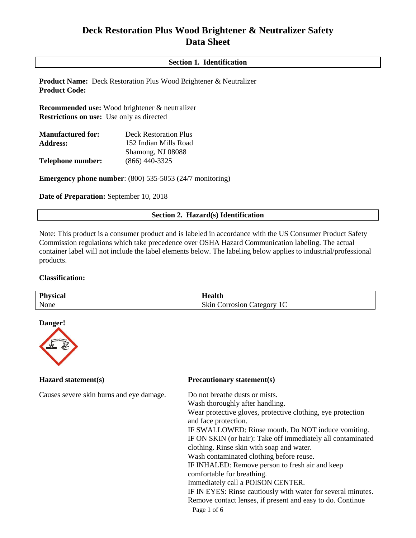# **Deck Restoration Plus Wood Brightener & Neutralizer Safety Data Sheet**

## **Section 1. Identification**

**Product Name:** Deck Restoration Plus Wood Brightener & Neutralizer **Product Code:** 

**Recommended use:** Wood brightener & neutralizer **Restrictions on use:** Use only as directed

| <b>Manufactured for:</b> | <b>Deck Restoration Plus</b> |  |  |
|--------------------------|------------------------------|--|--|
| <b>Address:</b>          | 152 Indian Mills Road        |  |  |
|                          | Shamong, NJ 08088            |  |  |
| <b>Telephone number:</b> | $(866)$ 440-3325             |  |  |

**Emergency phone number:** (800) 535-5053 (24/7 monitoring)

**Date of Preparation:** September 10, 2018

## **Section 2. Hazard(s) Identification**

Note: This product is a consumer product and is labeled in accordance with the US Consumer Product Safety Commission regulations which take precedence over OSHA Hazard Communication labeling. The actual container label will not include the label elements below. The labeling below applies to industrial/professional products.

#### **Classification:**

| Physical<br>الة. | <b>LAT</b><br>$-$<br>$\sim$                                                             |
|------------------|-----------------------------------------------------------------------------------------|
| None             | $\sim$ 1<br>$\sqrt{2}$<br>√kri<br>ate on ty<br>rosion<br>ור<br>$\overline{\phantom{a}}$ |

#### **Danger!**



Causes severe skin burns and eye damage. Do not breathe dusts or mists.

#### **Hazard statement(s) Precautionary statement(s)**

Page 1 of 6 Wash thoroughly after handling. Wear protective gloves, protective clothing, eye protection and face protection. IF SWALLOWED: Rinse mouth. Do NOT induce vomiting. IF ON SKIN (or hair): Take off immediately all contaminated clothing. Rinse skin with soap and water. Wash contaminated clothing before reuse. IF INHALED: Remove person to fresh air and keep comfortable for breathing. Immediately call a POISON CENTER. IF IN EYES: Rinse cautiously with water for several minutes. Remove contact lenses, if present and easy to do. Continue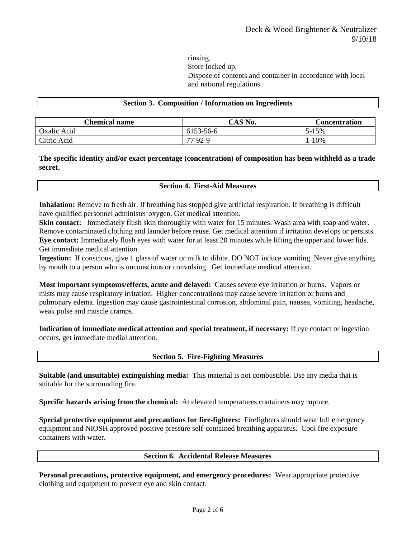rinsing. Store locked up. Dispose of contents and container in accordance with local and national regulations.

#### **Section 3. Composition / Information on Ingredients**

| <b>Chemical name</b> | CAS No.   | Concentration |
|----------------------|-----------|---------------|
| Oxalic Acid          | 6153-56-6 | 5-15%         |
| Citric Acid          | 77-92-9   | $-10%$        |

## **The specific identity and/or exact percentage (concentration) of composition has been withheld as a trade secret.**

#### **Section 4. First-Aid Measures**

**Inhalation:** Remove to fresh air. If breathing has stopped give artificial respiration. If breathing is difficult have qualified personnel administer oxygen. Get medical attention.

**Skin contact:** Immediately flush skin thoroughly with water for 15 minutes. Wash area with soap and water. Remove contaminated clothing and launder before reuse. Get medical attention if irritation develops or persists. **Eye contact:** Immediately flush eyes with water for at least 20 minutes while lifting the upper and lower lids. Get immediate medical attention.

**Ingestion:** If conscious, give 1 glass of water or milk to dilute. DO NOT induce vomiting. Never give anything by mouth to a person who is unconscious or convulsing. Get immediate medical attention.

**Most important symptoms/effects, acute and delayed:** Causes severe eye irritation or burns. Vapors or mists may cause respiratory irritation. Higher concentrations may cause severe irritation or burns and pulmonary edema. Ingestion may cause gastrointestinal corrosion, abdominal pain, nausea, vomiting, headache, weak pulse and muscle cramps.

**Indication of immediate medical attention and special treatment, if necessary:** If eye contact or ingestion occurs, get immediate medial attention.

#### **Section 5. Fire-Fighting Measures**

**Suitable (and unsuitable) extinguishing media:** This material is not combustible. Use any media that is suitable for the surrounding fire.

**Specific hazards arising from the chemical:** At elevated temperatures containers may rupture.

**Special protective equipment and precautions for fire-fighters:** Firefighters should wear full emergency equipment and NIOSH approved positive pressure self-contained breathing apparatus. Cool fire exposure containers with water.

## **Section 6. Accidental Release Measures**

**Personal precautions, protective equipment, and emergency procedures:** Wear appropriate protective clothing and equipment to prevent eye and skin contact.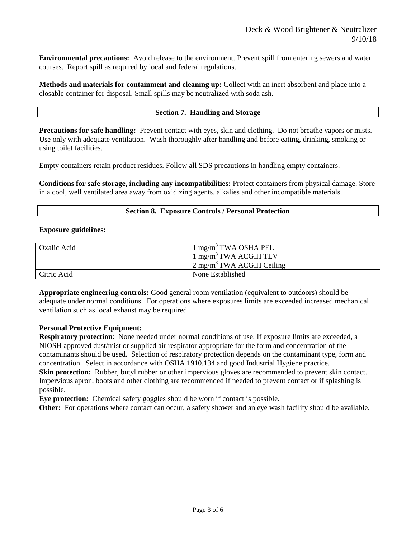**Environmental precautions:** Avoid release to the environment. Prevent spill from entering sewers and water courses. Report spill as required by local and federal regulations.

**Methods and materials for containment and cleaning up:** Collect with an inert absorbent and place into a closable container for disposal. Small spills may be neutralized with soda ash.

#### **Section 7. Handling and Storage**

**Precautions for safe handling:** Prevent contact with eyes, skin and clothing. Do not breathe vapors or mists. Use only with adequate ventilation. Wash thoroughly after handling and before eating, drinking, smoking or using toilet facilities.

Empty containers retain product residues. Follow all SDS precautions in handling empty containers.

**Conditions for safe storage, including any incompatibilities:** Protect containers from physical damage. Store in a cool, well ventilated area away from oxidizing agents, alkalies and other incompatible materials.

#### **Section 8. Exposure Controls / Personal Protection**

#### **Exposure guidelines:**

| Oxalic Acid | $1 \text{ mg/m}^3$ TWA OSHA PEL      |  |  |
|-------------|--------------------------------------|--|--|
|             | 1 mg/m <sup>3</sup> TWA ACGIH TLV    |  |  |
|             | $2 \text{ mg/m}^3$ TWA ACGIH Ceiling |  |  |
| Citric Acid | None Established                     |  |  |

**Appropriate engineering controls:** Good general room ventilation (equivalent to outdoors) should be adequate under normal conditions. For operations where exposures limits are exceeded increased mechanical ventilation such as local exhaust may be required.

## **Personal Protective Equipment:**

**Respiratory protection**: None needed under normal conditions of use. If exposure limits are exceeded, a NIOSH approved dust/mist or supplied air respirator appropriate for the form and concentration of the contaminants should be used. Selection of respiratory protection depends on the contaminant type, form and concentration. Select in accordance with OSHA 1910.134 and good Industrial Hygiene practice. **Skin protection:** Rubber, butyl rubber or other impervious gloves are recommended to prevent skin contact. Impervious apron, boots and other clothing are recommended if needed to prevent contact or if splashing is possible.

**Eye protection:** Chemical safety goggles should be worn if contact is possible.

**Other:** For operations where contact can occur, a safety shower and an eye wash facility should be available.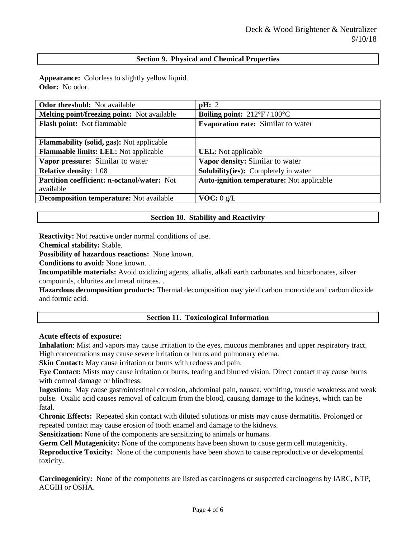## **Section 9. Physical and Chemical Properties**

**Appearance:** Colorless to slightly yellow liquid. **Odor:** No odor.

| <b>Odor threshold:</b> Not available             | pH: 2                                               |
|--------------------------------------------------|-----------------------------------------------------|
| Melting point/freezing point: Not available      | <b>Boiling point:</b> $212^{\circ}F / 100^{\circ}C$ |
| <b>Flash point:</b> Not flammable                | <b>Evaporation rate:</b> Similar to water           |
|                                                  |                                                     |
| <b>Flammability (solid, gas):</b> Not applicable |                                                     |
| <b>Flammable limits: LEL:</b> Not applicable     | <b>UEL</b> : Not applicable                         |
| Vapor pressure: Similar to water                 | Vapor density: Similar to water                     |
| <b>Relative density: 1.08</b>                    | <b>Solubility(ies):</b> Completely in water         |
| Partition coefficient: n-octanol/water: Not      | <b>Auto-ignition temperature:</b> Not applicable    |
| available                                        |                                                     |
| <b>Decomposition temperature:</b> Not available  | VOC: 0 g/L                                          |

## **Section 10. Stability and Reactivity**

**Reactivity:** Not reactive under normal conditions of use.

**Chemical stability:** Stable.

**Possibility of hazardous reactions:** None known.

**Conditions to avoid:** None known. .

**Incompatible materials:** Avoid oxidizing agents, alkalis, alkali earth carbonates and bicarbonates, silver compounds, chlorites and metal nitrates. .

**Hazardous decomposition products:** Thermal decomposition may yield carbon monoxide and carbon dioxide and formic acid.

## **Section 11. Toxicological Information**

**Acute effects of exposure:**

**Inhalation**: Mist and vapors may cause irritation to the eyes, mucous membranes and upper respiratory tract. High concentrations may cause severe irritation or burns and pulmonary edema.

**Skin Contact:** May cause irritation or burns with redness and pain.

**Eye Contact:** Mists may cause irritation or burns, tearing and blurred vision. Direct contact may cause burns with corneal damage or blindness.

**Ingestion:** May cause gastrointestinal corrosion, abdominal pain, nausea, vomiting, muscle weakness and weak pulse. Oxalic acid causes removal of calcium from the blood, causing damage to the kidneys, which can be fatal.

**Chronic Effects:** Repeated skin contact with diluted solutions or mists may cause dermatitis. Prolonged or repeated contact may cause erosion of tooth enamel and damage to the kidneys.

**Sensitization:** None of the components are sensitizing to animals or humans.

**Germ Cell Mutagenicity:** None of the components have been shown to cause germ cell mutagenicity.

**Reproductive Toxicity:** None of the components have been shown to cause reproductive or developmental toxicity.

**Carcinogenicity:** None of the components are listed as carcinogens or suspected carcinogens by IARC, NTP, ACGIH or OSHA.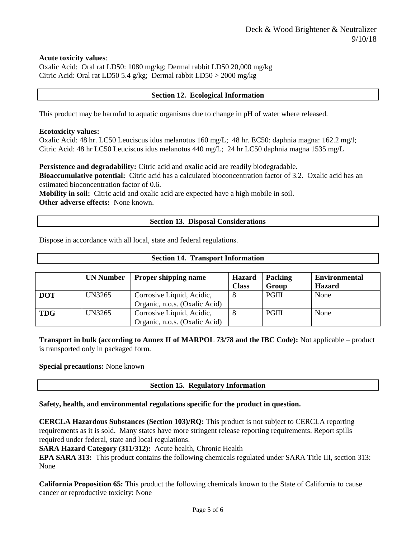**Acute toxicity values**:

Oxalic Acid: Oral rat LD50: 1080 mg/kg; Dermal rabbit LD50 20,000 mg/kg Citric Acid: Oral rat LD50 5.4 g/kg; Dermal rabbit LD50 > 2000 mg/kg

## **Section 12. Ecological Information**

This product may be harmful to aquatic organisms due to change in pH of water where released.

#### **Ecotoxicity values:**

Oxalic Acid: 48 hr. LC50 Leuciscus idus melanotus 160 mg/L; 48 hr. EC50: daphnia magna: 162.2 mg/l; Citric Acid: 48 hr LC50 Leuciscus idus melanotus 440 mg/L; 24 hr LC50 daphnia magna 1535 mg/L

**Persistence and degradability:** Citric acid and oxalic acid are readily biodegradable.

**Bioaccumulative potential:** Citric acid has a calculated bioconcentration factor of 3.2. Oxalic acid has an estimated bioconcentration factor of 0.6.

**Mobility in soil:** Citric acid and oxalic acid are expected have a high mobile in soil. **Other adverse effects:** None known.

#### **Section 13. Disposal Considerations**

Dispose in accordance with all local, state and federal regulations.

## **Section 14. Transport Information**

|            | <b>UN Number</b> | <b>Proper shipping name</b>   | <b>Hazard</b> | <b>Packing</b> | <b>Environmental</b> |
|------------|------------------|-------------------------------|---------------|----------------|----------------------|
|            |                  |                               | <b>Class</b>  | Group          | <b>Hazard</b>        |
| <b>DOT</b> | UN3265           | Corrosive Liquid, Acidic,     |               | <b>PGIII</b>   | None                 |
|            |                  | Organic, n.o.s. (Oxalic Acid) |               |                |                      |
| <b>TDG</b> | UN3265           | Corrosive Liquid, Acidic,     |               | <b>PGIII</b>   | None                 |
|            |                  | Organic, n.o.s. (Oxalic Acid) |               |                |                      |

**Transport in bulk (according to Annex II of MARPOL 73/78 and the IBC Code):** Not applicable – product is transported only in packaged form.

#### **Special precautions:** None known

## **Section 15. Regulatory Information**

## **Safety, health, and environmental regulations specific for the product in question.**

**CERCLA Hazardous Substances (Section 103)/RQ:** This product is not subject to CERCLA reporting requirements as it is sold. Many states have more stringent release reporting requirements. Report spills required under federal, state and local regulations.

**SARA Hazard Category (311/312):** Acute health, Chronic Health

**EPA SARA 313:** This product contains the following chemicals regulated under SARA Title III, section 313: None

**California Proposition 65:** This product the following chemicals known to the State of California to cause cancer or reproductive toxicity: None